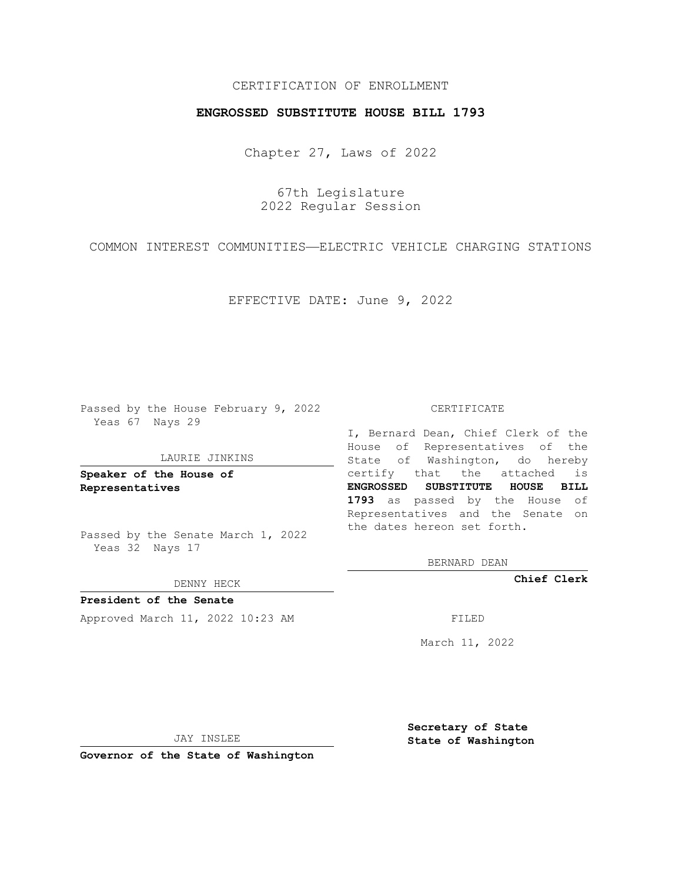# CERTIFICATION OF ENROLLMENT

## **ENGROSSED SUBSTITUTE HOUSE BILL 1793**

Chapter 27, Laws of 2022

67th Legislature 2022 Regular Session

COMMON INTEREST COMMUNITIES—ELECTRIC VEHICLE CHARGING STATIONS

EFFECTIVE DATE: June 9, 2022

Passed by the House February 9, 2022 Yeas 67 Nays 29

#### LAURIE JINKINS

**Speaker of the House of Representatives**

Passed by the Senate March 1, 2022 Yeas 32 Nays 17

DENNY HECK

**President of the Senate** Approved March 11, 2022 10:23 AM FILED

CERTIFICATE

I, Bernard Dean, Chief Clerk of the House of Representatives of the State of Washington, do hereby certify that the attached is **ENGROSSED SUBSTITUTE HOUSE BILL 1793** as passed by the House of Representatives and the Senate on the dates hereon set forth.

BERNARD DEAN

**Chief Clerk**

March 11, 2022

JAY INSLEE

**Governor of the State of Washington**

**Secretary of State State of Washington**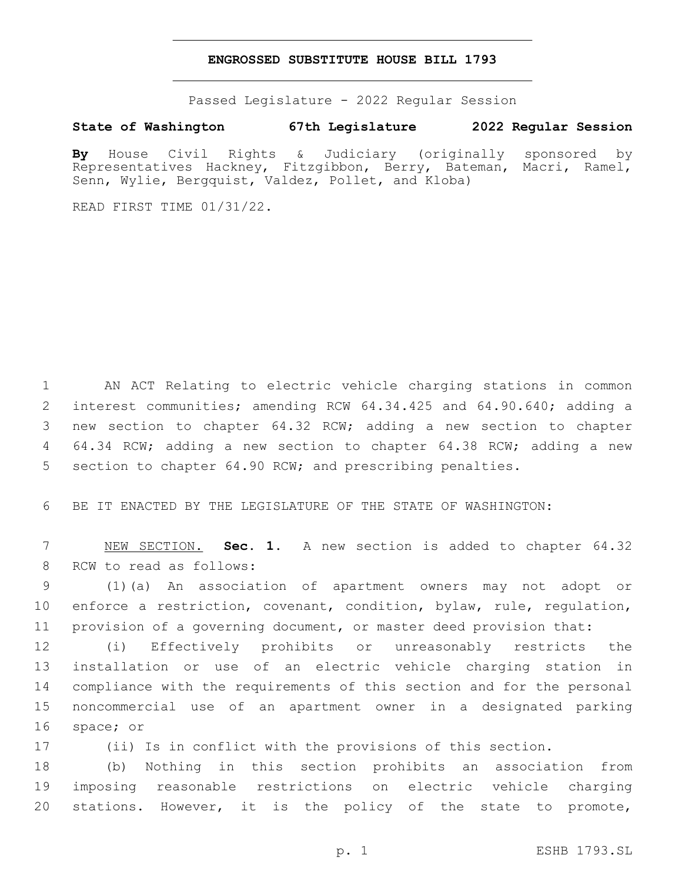### **ENGROSSED SUBSTITUTE HOUSE BILL 1793**

Passed Legislature - 2022 Regular Session

## **State of Washington 67th Legislature 2022 Regular Session**

**By** House Civil Rights & Judiciary (originally sponsored by Representatives Hackney, Fitzgibbon, Berry, Bateman, Macri, Ramel, Senn, Wylie, Bergquist, Valdez, Pollet, and Kloba)

READ FIRST TIME 01/31/22.

 AN ACT Relating to electric vehicle charging stations in common interest communities; amending RCW 64.34.425 and 64.90.640; adding a new section to chapter 64.32 RCW; adding a new section to chapter 64.34 RCW; adding a new section to chapter 64.38 RCW; adding a new 5 section to chapter 64.90 RCW; and prescribing penalties.

BE IT ENACTED BY THE LEGISLATURE OF THE STATE OF WASHINGTON:

 NEW SECTION. **Sec. 1.** A new section is added to chapter 64.32 8 RCW to read as follows:

 (1)(a) An association of apartment owners may not adopt or enforce a restriction, covenant, condition, bylaw, rule, regulation, provision of a governing document, or master deed provision that:

 (i) Effectively prohibits or unreasonably restricts the installation or use of an electric vehicle charging station in compliance with the requirements of this section and for the personal noncommercial use of an apartment owner in a designated parking 16 space; or

(ii) Is in conflict with the provisions of this section.

 (b) Nothing in this section prohibits an association from imposing reasonable restrictions on electric vehicle charging stations. However, it is the policy of the state to promote,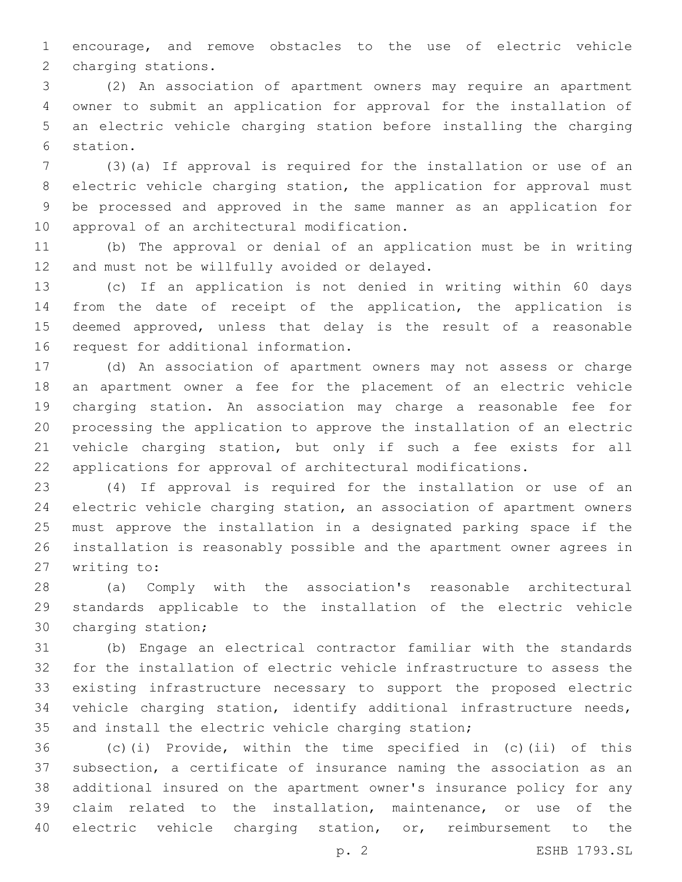encourage, and remove obstacles to the use of electric vehicle 2 charging stations.

 (2) An association of apartment owners may require an apartment owner to submit an application for approval for the installation of an electric vehicle charging station before installing the charging 6 station.

 (3)(a) If approval is required for the installation or use of an electric vehicle charging station, the application for approval must be processed and approved in the same manner as an application for 10 approval of an architectural modification.

 (b) The approval or denial of an application must be in writing 12 and must not be willfully avoided or delayed.

 (c) If an application is not denied in writing within 60 days from the date of receipt of the application, the application is deemed approved, unless that delay is the result of a reasonable 16 request for additional information.

 (d) An association of apartment owners may not assess or charge an apartment owner a fee for the placement of an electric vehicle charging station. An association may charge a reasonable fee for processing the application to approve the installation of an electric vehicle charging station, but only if such a fee exists for all applications for approval of architectural modifications.

 (4) If approval is required for the installation or use of an electric vehicle charging station, an association of apartment owners must approve the installation in a designated parking space if the installation is reasonably possible and the apartment owner agrees in 27 writing to:

 (a) Comply with the association's reasonable architectural standards applicable to the installation of the electric vehicle 30 charging station;

 (b) Engage an electrical contractor familiar with the standards for the installation of electric vehicle infrastructure to assess the existing infrastructure necessary to support the proposed electric vehicle charging station, identify additional infrastructure needs, and install the electric vehicle charging station;

 (c)(i) Provide, within the time specified in (c)(ii) of this subsection, a certificate of insurance naming the association as an additional insured on the apartment owner's insurance policy for any claim related to the installation, maintenance, or use of the electric vehicle charging station, or, reimbursement to the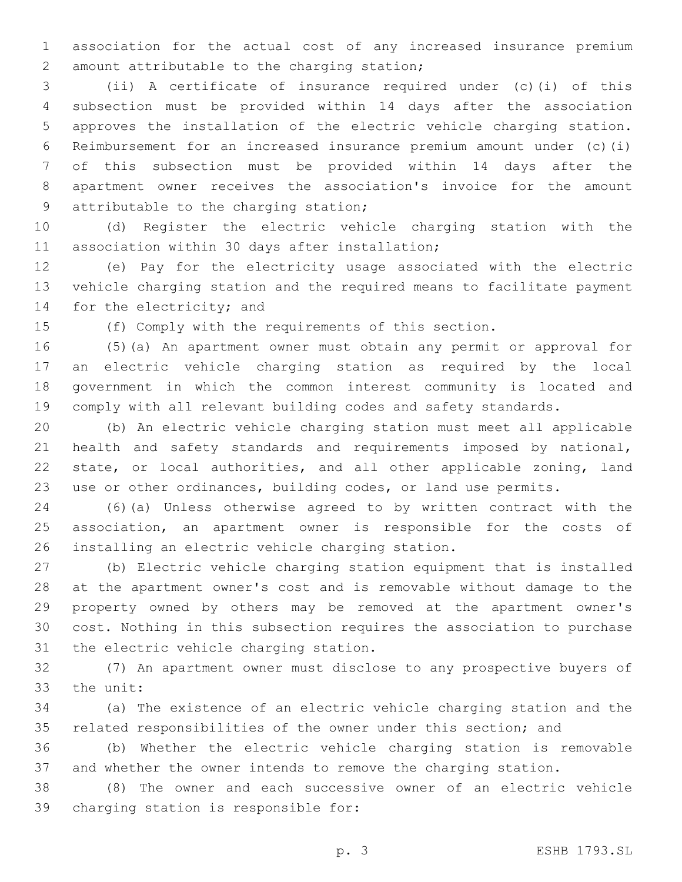association for the actual cost of any increased insurance premium 2 amount attributable to the charging station;

 (ii) A certificate of insurance required under (c)(i) of this subsection must be provided within 14 days after the association approves the installation of the electric vehicle charging station. Reimbursement for an increased insurance premium amount under (c)(i) of this subsection must be provided within 14 days after the apartment owner receives the association's invoice for the amount 9 attributable to the charging station;

 (d) Register the electric vehicle charging station with the 11 association within 30 days after installation;

 (e) Pay for the electricity usage associated with the electric vehicle charging station and the required means to facilitate payment 14 for the electricity; and

(f) Comply with the requirements of this section.

 (5)(a) An apartment owner must obtain any permit or approval for an electric vehicle charging station as required by the local government in which the common interest community is located and comply with all relevant building codes and safety standards.

 (b) An electric vehicle charging station must meet all applicable health and safety standards and requirements imposed by national, state, or local authorities, and all other applicable zoning, land use or other ordinances, building codes, or land use permits.

 (6)(a) Unless otherwise agreed to by written contract with the association, an apartment owner is responsible for the costs of 26 installing an electric vehicle charging station.

 (b) Electric vehicle charging station equipment that is installed at the apartment owner's cost and is removable without damage to the property owned by others may be removed at the apartment owner's cost. Nothing in this subsection requires the association to purchase 31 the electric vehicle charging station.

 (7) An apartment owner must disclose to any prospective buyers of 33 the unit:

 (a) The existence of an electric vehicle charging station and the related responsibilities of the owner under this section; and

 (b) Whether the electric vehicle charging station is removable and whether the owner intends to remove the charging station.

 (8) The owner and each successive owner of an electric vehicle 39 charging station is responsible for: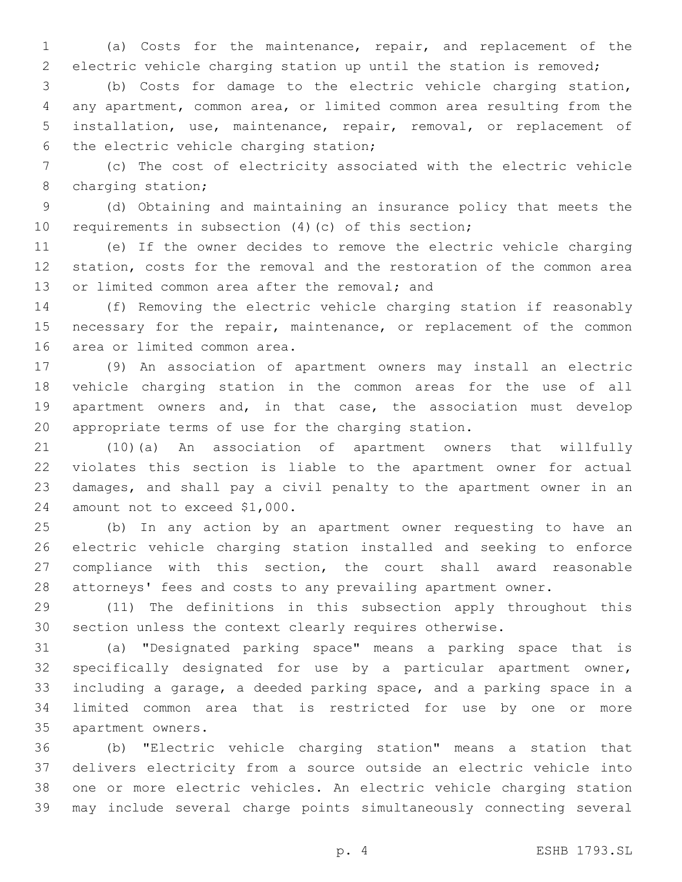(a) Costs for the maintenance, repair, and replacement of the electric vehicle charging station up until the station is removed;

 (b) Costs for damage to the electric vehicle charging station, any apartment, common area, or limited common area resulting from the installation, use, maintenance, repair, removal, or replacement of 6 the electric vehicle charging station;

 (c) The cost of electricity associated with the electric vehicle 8 charging station;

 (d) Obtaining and maintaining an insurance policy that meets the requirements in subsection (4)(c) of this section;

 (e) If the owner decides to remove the electric vehicle charging station, costs for the removal and the restoration of the common area 13 or limited common area after the removal; and

 (f) Removing the electric vehicle charging station if reasonably 15 necessary for the repair, maintenance, or replacement of the common 16 area or limited common area.

 (9) An association of apartment owners may install an electric vehicle charging station in the common areas for the use of all apartment owners and, in that case, the association must develop appropriate terms of use for the charging station.

 (10)(a) An association of apartment owners that willfully violates this section is liable to the apartment owner for actual damages, and shall pay a civil penalty to the apartment owner in an 24 amount not to exceed \$1,000.

 (b) In any action by an apartment owner requesting to have an electric vehicle charging station installed and seeking to enforce compliance with this section, the court shall award reasonable attorneys' fees and costs to any prevailing apartment owner.

 (11) The definitions in this subsection apply throughout this section unless the context clearly requires otherwise.

 (a) "Designated parking space" means a parking space that is specifically designated for use by a particular apartment owner, including a garage, a deeded parking space, and a parking space in a limited common area that is restricted for use by one or more 35 apartment owners.

 (b) "Electric vehicle charging station" means a station that delivers electricity from a source outside an electric vehicle into one or more electric vehicles. An electric vehicle charging station may include several charge points simultaneously connecting several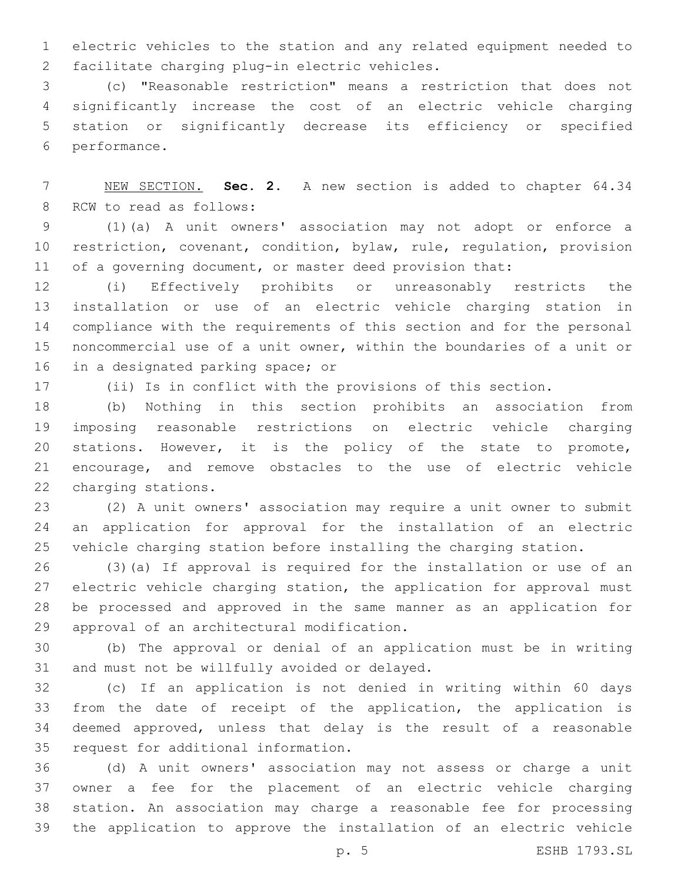electric vehicles to the station and any related equipment needed to 2 facilitate charging plug-in electric vehicles.

 (c) "Reasonable restriction" means a restriction that does not significantly increase the cost of an electric vehicle charging station or significantly decrease its efficiency or specified 6 performance.

 NEW SECTION. **Sec. 2.** A new section is added to chapter 64.34 8 RCW to read as follows:

 (1)(a) A unit owners' association may not adopt or enforce a restriction, covenant, condition, bylaw, rule, regulation, provision 11 of a governing document, or master deed provision that:

 (i) Effectively prohibits or unreasonably restricts the installation or use of an electric vehicle charging station in compliance with the requirements of this section and for the personal noncommercial use of a unit owner, within the boundaries of a unit or 16 in a designated parking space; or

(ii) Is in conflict with the provisions of this section.

 (b) Nothing in this section prohibits an association from imposing reasonable restrictions on electric vehicle charging stations. However, it is the policy of the state to promote, encourage, and remove obstacles to the use of electric vehicle 22 charging stations.

 (2) A unit owners' association may require a unit owner to submit an application for approval for the installation of an electric vehicle charging station before installing the charging station.

 (3)(a) If approval is required for the installation or use of an electric vehicle charging station, the application for approval must be processed and approved in the same manner as an application for 29 approval of an architectural modification.

 (b) The approval or denial of an application must be in writing 31 and must not be willfully avoided or delayed.

 (c) If an application is not denied in writing within 60 days from the date of receipt of the application, the application is deemed approved, unless that delay is the result of a reasonable 35 request for additional information.

 (d) A unit owners' association may not assess or charge a unit owner a fee for the placement of an electric vehicle charging station. An association may charge a reasonable fee for processing the application to approve the installation of an electric vehicle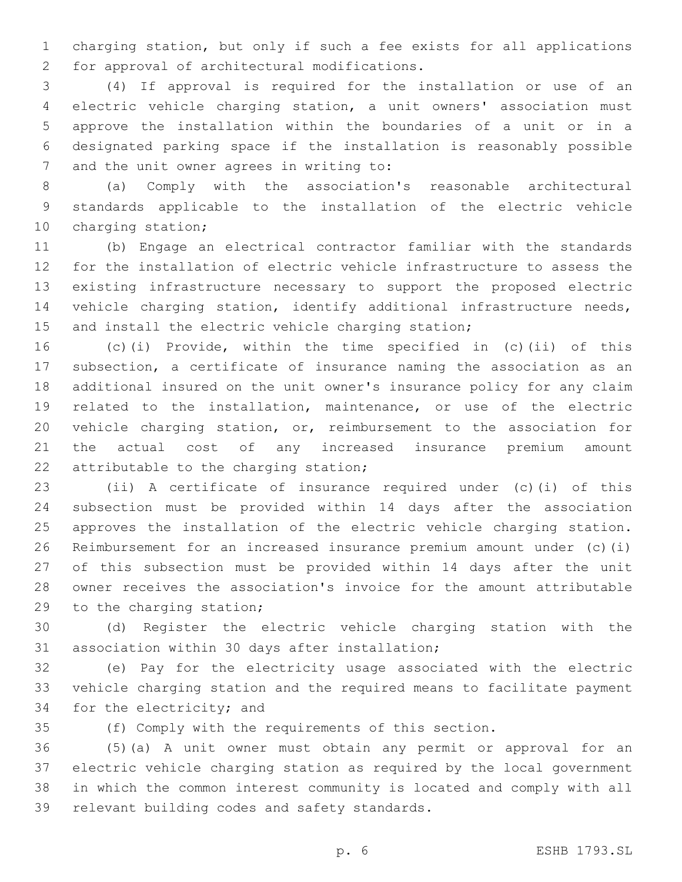charging station, but only if such a fee exists for all applications 2 for approval of architectural modifications.

 (4) If approval is required for the installation or use of an electric vehicle charging station, a unit owners' association must approve the installation within the boundaries of a unit or in a designated parking space if the installation is reasonably possible 7 and the unit owner agrees in writing to:

 (a) Comply with the association's reasonable architectural standards applicable to the installation of the electric vehicle 10 charging station;

 (b) Engage an electrical contractor familiar with the standards for the installation of electric vehicle infrastructure to assess the existing infrastructure necessary to support the proposed electric 14 vehicle charging station, identify additional infrastructure needs, 15 and install the electric vehicle charging station;

 (c)(i) Provide, within the time specified in (c)(ii) of this subsection, a certificate of insurance naming the association as an additional insured on the unit owner's insurance policy for any claim related to the installation, maintenance, or use of the electric vehicle charging station, or, reimbursement to the association for the actual cost of any increased insurance premium amount 22 attributable to the charging station;

 (ii) A certificate of insurance required under (c)(i) of this subsection must be provided within 14 days after the association approves the installation of the electric vehicle charging station. Reimbursement for an increased insurance premium amount under (c)(i) of this subsection must be provided within 14 days after the unit owner receives the association's invoice for the amount attributable 29 to the charging station;

 (d) Register the electric vehicle charging station with the 31 association within 30 days after installation;

 (e) Pay for the electricity usage associated with the electric vehicle charging station and the required means to facilitate payment 34 for the electricity; and

(f) Comply with the requirements of this section.

 (5)(a) A unit owner must obtain any permit or approval for an electric vehicle charging station as required by the local government in which the common interest community is located and comply with all 39 relevant building codes and safety standards.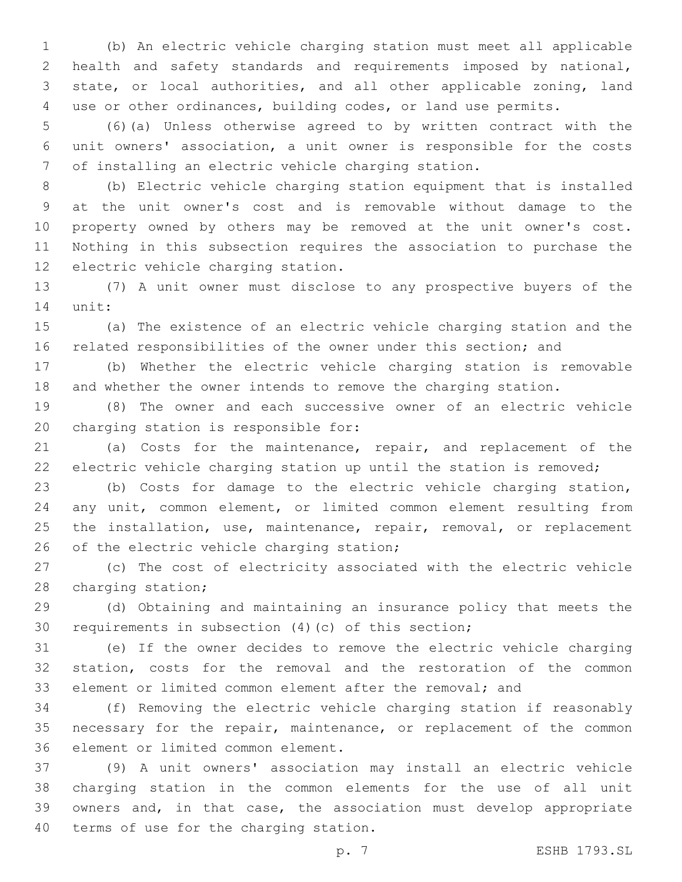(b) An electric vehicle charging station must meet all applicable health and safety standards and requirements imposed by national, state, or local authorities, and all other applicable zoning, land use or other ordinances, building codes, or land use permits.

 (6)(a) Unless otherwise agreed to by written contract with the unit owners' association, a unit owner is responsible for the costs of installing an electric vehicle charging station.

 (b) Electric vehicle charging station equipment that is installed at the unit owner's cost and is removable without damage to the property owned by others may be removed at the unit owner's cost. Nothing in this subsection requires the association to purchase the 12 electric vehicle charging station.

 (7) A unit owner must disclose to any prospective buyers of the 14 unit:

 (a) The existence of an electric vehicle charging station and the related responsibilities of the owner under this section; and

 (b) Whether the electric vehicle charging station is removable and whether the owner intends to remove the charging station.

 (8) The owner and each successive owner of an electric vehicle 20 charging station is responsible for:

 (a) Costs for the maintenance, repair, and replacement of the electric vehicle charging station up until the station is removed;

 (b) Costs for damage to the electric vehicle charging station, any unit, common element, or limited common element resulting from 25 the installation, use, maintenance, repair, removal, or replacement 26 of the electric vehicle charging station;

 (c) The cost of electricity associated with the electric vehicle 28 charging station;

 (d) Obtaining and maintaining an insurance policy that meets the requirements in subsection (4)(c) of this section;

 (e) If the owner decides to remove the electric vehicle charging station, costs for the removal and the restoration of the common element or limited common element after the removal; and

 (f) Removing the electric vehicle charging station if reasonably 35 necessary for the repair, maintenance, or replacement of the common 36 element or limited common element.

 (9) A unit owners' association may install an electric vehicle charging station in the common elements for the use of all unit owners and, in that case, the association must develop appropriate 40 terms of use for the charging station.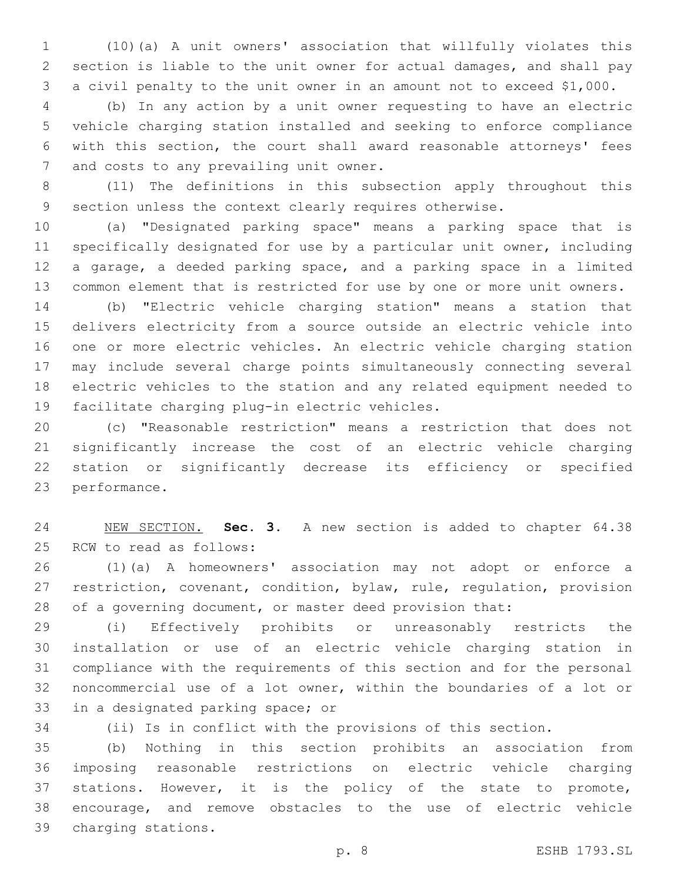(10)(a) A unit owners' association that willfully violates this section is liable to the unit owner for actual damages, and shall pay a civil penalty to the unit owner in an amount not to exceed \$1,000.

 (b) In any action by a unit owner requesting to have an electric vehicle charging station installed and seeking to enforce compliance with this section, the court shall award reasonable attorneys' fees 7 and costs to any prevailing unit owner.

 (11) The definitions in this subsection apply throughout this section unless the context clearly requires otherwise.

 (a) "Designated parking space" means a parking space that is specifically designated for use by a particular unit owner, including a garage, a deeded parking space, and a parking space in a limited common element that is restricted for use by one or more unit owners.

 (b) "Electric vehicle charging station" means a station that delivers electricity from a source outside an electric vehicle into one or more electric vehicles. An electric vehicle charging station may include several charge points simultaneously connecting several electric vehicles to the station and any related equipment needed to 19 facilitate charging plug-in electric vehicles.

 (c) "Reasonable restriction" means a restriction that does not significantly increase the cost of an electric vehicle charging station or significantly decrease its efficiency or specified 23 performance.

 NEW SECTION. **Sec. 3.** A new section is added to chapter 64.38 25 RCW to read as follows:

 (1)(a) A homeowners' association may not adopt or enforce a restriction, covenant, condition, bylaw, rule, regulation, provision of a governing document, or master deed provision that:

 (i) Effectively prohibits or unreasonably restricts the installation or use of an electric vehicle charging station in compliance with the requirements of this section and for the personal noncommercial use of a lot owner, within the boundaries of a lot or 33 in a designated parking space; or

(ii) Is in conflict with the provisions of this section.

 (b) Nothing in this section prohibits an association from imposing reasonable restrictions on electric vehicle charging stations. However, it is the policy of the state to promote, encourage, and remove obstacles to the use of electric vehicle charging stations.39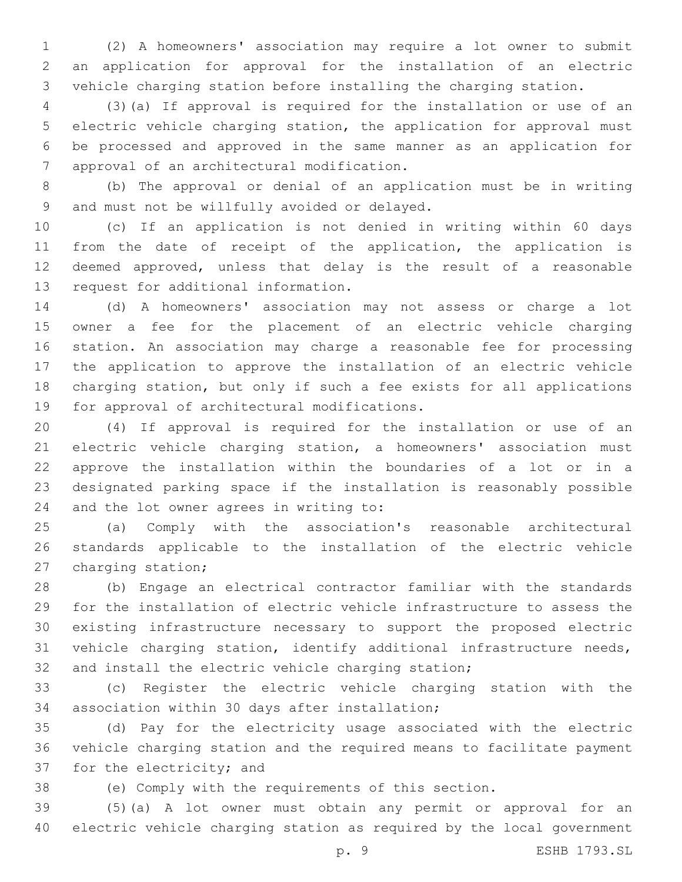(2) A homeowners' association may require a lot owner to submit an application for approval for the installation of an electric vehicle charging station before installing the charging station.

 (3)(a) If approval is required for the installation or use of an electric vehicle charging station, the application for approval must be processed and approved in the same manner as an application for 7 approval of an architectural modification.

 (b) The approval or denial of an application must be in writing 9 and must not be willfully avoided or delayed.

 (c) If an application is not denied in writing within 60 days from the date of receipt of the application, the application is deemed approved, unless that delay is the result of a reasonable 13 request for additional information.

 (d) A homeowners' association may not assess or charge a lot owner a fee for the placement of an electric vehicle charging station. An association may charge a reasonable fee for processing the application to approve the installation of an electric vehicle charging station, but only if such a fee exists for all applications 19 for approval of architectural modifications.

 (4) If approval is required for the installation or use of an electric vehicle charging station, a homeowners' association must approve the installation within the boundaries of a lot or in a designated parking space if the installation is reasonably possible 24 and the lot owner agrees in writing to:

 (a) Comply with the association's reasonable architectural standards applicable to the installation of the electric vehicle 27 charging station;

 (b) Engage an electrical contractor familiar with the standards for the installation of electric vehicle infrastructure to assess the existing infrastructure necessary to support the proposed electric vehicle charging station, identify additional infrastructure needs, and install the electric vehicle charging station;

 (c) Register the electric vehicle charging station with the 34 association within 30 days after installation;

 (d) Pay for the electricity usage associated with the electric vehicle charging station and the required means to facilitate payment 37 for the electricity; and

(e) Comply with the requirements of this section.

 (5)(a) A lot owner must obtain any permit or approval for an electric vehicle charging station as required by the local government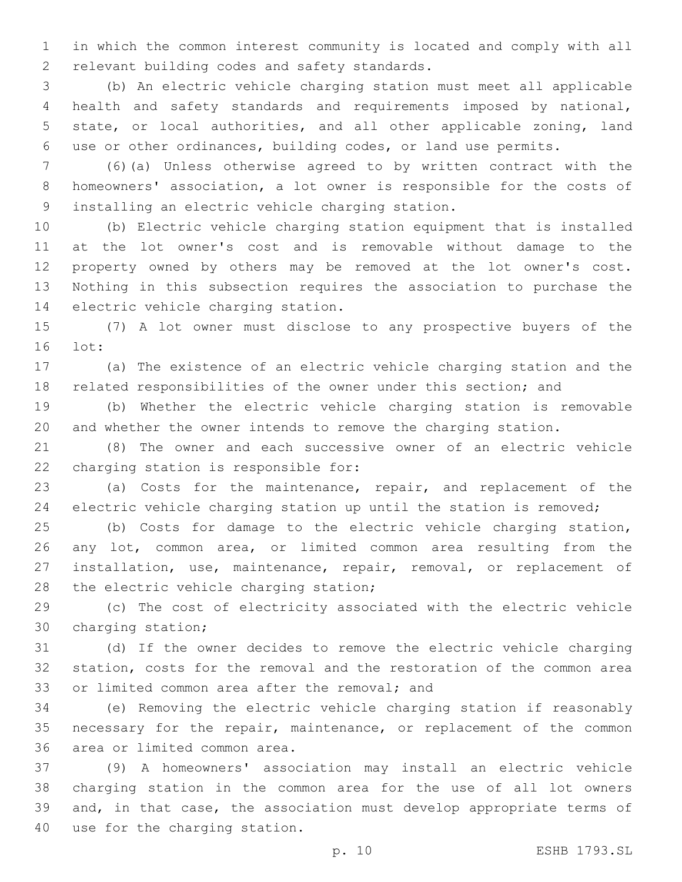in which the common interest community is located and comply with all 2 relevant building codes and safety standards.

 (b) An electric vehicle charging station must meet all applicable health and safety standards and requirements imposed by national, state, or local authorities, and all other applicable zoning, land use or other ordinances, building codes, or land use permits.

 (6)(a) Unless otherwise agreed to by written contract with the homeowners' association, a lot owner is responsible for the costs of 9 installing an electric vehicle charging station.

 (b) Electric vehicle charging station equipment that is installed at the lot owner's cost and is removable without damage to the property owned by others may be removed at the lot owner's cost. Nothing in this subsection requires the association to purchase the 14 electric vehicle charging station.

 (7) A lot owner must disclose to any prospective buyers of the 16 lot:

 (a) The existence of an electric vehicle charging station and the related responsibilities of the owner under this section; and

 (b) Whether the electric vehicle charging station is removable and whether the owner intends to remove the charging station.

 (8) The owner and each successive owner of an electric vehicle 22 charging station is responsible for:

 (a) Costs for the maintenance, repair, and replacement of the electric vehicle charging station up until the station is removed;

 (b) Costs for damage to the electric vehicle charging station, any lot, common area, or limited common area resulting from the installation, use, maintenance, repair, removal, or replacement of 28 the electric vehicle charging station;

 (c) The cost of electricity associated with the electric vehicle 30 charging station;

 (d) If the owner decides to remove the electric vehicle charging station, costs for the removal and the restoration of the common area 33 or limited common area after the removal; and

 (e) Removing the electric vehicle charging station if reasonably 35 necessary for the repair, maintenance, or replacement of the common 36 area or limited common area.

 (9) A homeowners' association may install an electric vehicle charging station in the common area for the use of all lot owners and, in that case, the association must develop appropriate terms of 40 use for the charging station.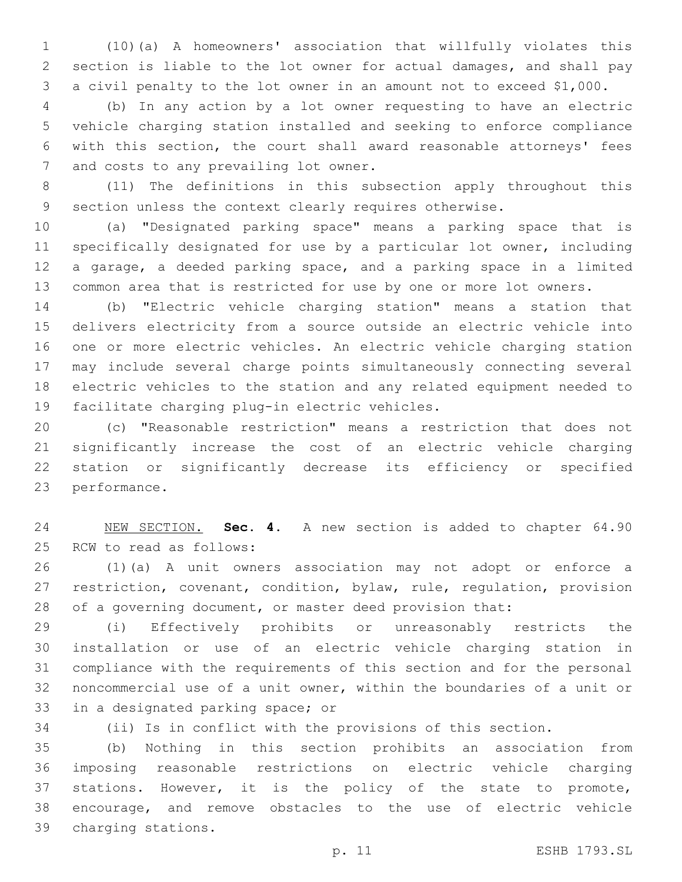(10)(a) A homeowners' association that willfully violates this section is liable to the lot owner for actual damages, and shall pay a civil penalty to the lot owner in an amount not to exceed \$1,000.

 (b) In any action by a lot owner requesting to have an electric vehicle charging station installed and seeking to enforce compliance with this section, the court shall award reasonable attorneys' fees 7 and costs to any prevailing lot owner.

 (11) The definitions in this subsection apply throughout this section unless the context clearly requires otherwise.

 (a) "Designated parking space" means a parking space that is specifically designated for use by a particular lot owner, including a garage, a deeded parking space, and a parking space in a limited common area that is restricted for use by one or more lot owners.

 (b) "Electric vehicle charging station" means a station that delivers electricity from a source outside an electric vehicle into one or more electric vehicles. An electric vehicle charging station may include several charge points simultaneously connecting several electric vehicles to the station and any related equipment needed to 19 facilitate charging plug-in electric vehicles.

 (c) "Reasonable restriction" means a restriction that does not significantly increase the cost of an electric vehicle charging station or significantly decrease its efficiency or specified 23 performance.

 NEW SECTION. **Sec. 4.** A new section is added to chapter 64.90 25 RCW to read as follows:

 (1)(a) A unit owners association may not adopt or enforce a restriction, covenant, condition, bylaw, rule, regulation, provision of a governing document, or master deed provision that:

 (i) Effectively prohibits or unreasonably restricts the installation or use of an electric vehicle charging station in compliance with the requirements of this section and for the personal noncommercial use of a unit owner, within the boundaries of a unit or 33 in a designated parking space; or

(ii) Is in conflict with the provisions of this section.

 (b) Nothing in this section prohibits an association from imposing reasonable restrictions on electric vehicle charging stations. However, it is the policy of the state to promote, encourage, and remove obstacles to the use of electric vehicle 39 charging stations.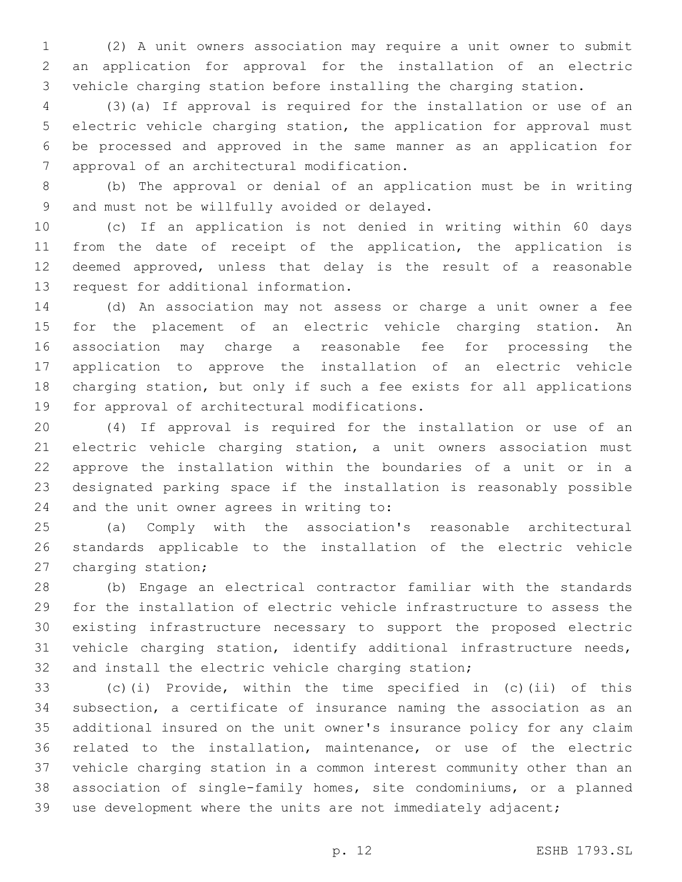(2) A unit owners association may require a unit owner to submit an application for approval for the installation of an electric vehicle charging station before installing the charging station.

 (3)(a) If approval is required for the installation or use of an electric vehicle charging station, the application for approval must be processed and approved in the same manner as an application for 7 approval of an architectural modification.

 (b) The approval or denial of an application must be in writing 9 and must not be willfully avoided or delayed.

 (c) If an application is not denied in writing within 60 days from the date of receipt of the application, the application is deemed approved, unless that delay is the result of a reasonable 13 request for additional information.

 (d) An association may not assess or charge a unit owner a fee for the placement of an electric vehicle charging station. An association may charge a reasonable fee for processing the application to approve the installation of an electric vehicle charging station, but only if such a fee exists for all applications 19 for approval of architectural modifications.

 (4) If approval is required for the installation or use of an electric vehicle charging station, a unit owners association must approve the installation within the boundaries of a unit or in a designated parking space if the installation is reasonably possible 24 and the unit owner agrees in writing to:

 (a) Comply with the association's reasonable architectural standards applicable to the installation of the electric vehicle 27 charging station;

 (b) Engage an electrical contractor familiar with the standards for the installation of electric vehicle infrastructure to assess the existing infrastructure necessary to support the proposed electric vehicle charging station, identify additional infrastructure needs, and install the electric vehicle charging station;

 (c)(i) Provide, within the time specified in (c)(ii) of this subsection, a certificate of insurance naming the association as an additional insured on the unit owner's insurance policy for any claim related to the installation, maintenance, or use of the electric vehicle charging station in a common interest community other than an association of single-family homes, site condominiums, or a planned use development where the units are not immediately adjacent;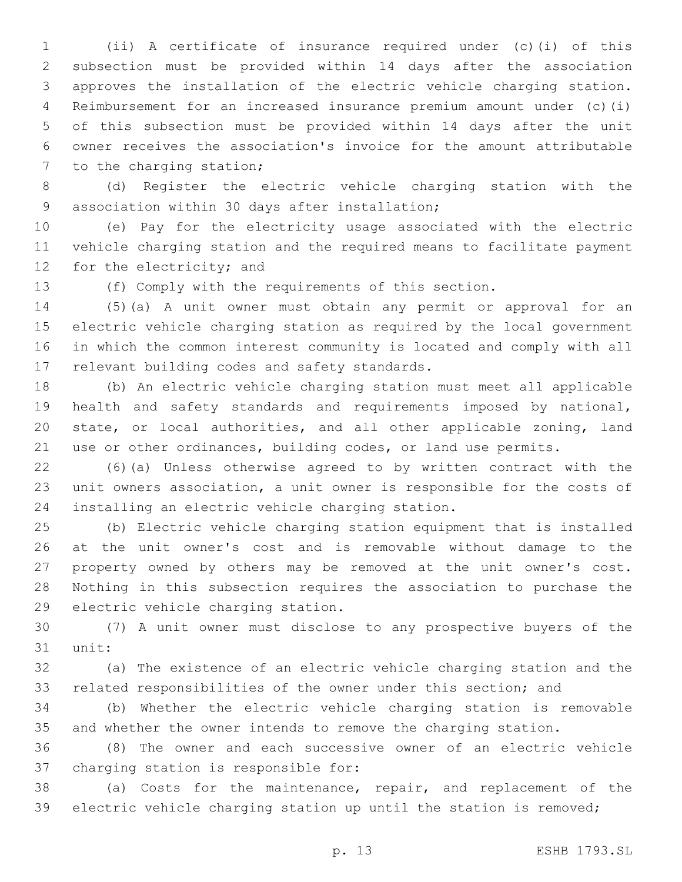(ii) A certificate of insurance required under (c)(i) of this subsection must be provided within 14 days after the association approves the installation of the electric vehicle charging station. Reimbursement for an increased insurance premium amount under (c)(i) of this subsection must be provided within 14 days after the unit owner receives the association's invoice for the amount attributable 7 to the charging station;

 (d) Register the electric vehicle charging station with the 9 association within 30 days after installation;

 (e) Pay for the electricity usage associated with the electric vehicle charging station and the required means to facilitate payment 12 for the electricity; and

(f) Comply with the requirements of this section.

 (5)(a) A unit owner must obtain any permit or approval for an electric vehicle charging station as required by the local government in which the common interest community is located and comply with all 17 relevant building codes and safety standards.

 (b) An electric vehicle charging station must meet all applicable health and safety standards and requirements imposed by national, state, or local authorities, and all other applicable zoning, land use or other ordinances, building codes, or land use permits.

 (6)(a) Unless otherwise agreed to by written contract with the unit owners association, a unit owner is responsible for the costs of 24 installing an electric vehicle charging station.

 (b) Electric vehicle charging station equipment that is installed at the unit owner's cost and is removable without damage to the property owned by others may be removed at the unit owner's cost. Nothing in this subsection requires the association to purchase the 29 electric vehicle charging station.

 (7) A unit owner must disclose to any prospective buyers of the 31 unit:

 (a) The existence of an electric vehicle charging station and the related responsibilities of the owner under this section; and

 (b) Whether the electric vehicle charging station is removable and whether the owner intends to remove the charging station.

 (8) The owner and each successive owner of an electric vehicle 37 charging station is responsible for:

 (a) Costs for the maintenance, repair, and replacement of the electric vehicle charging station up until the station is removed;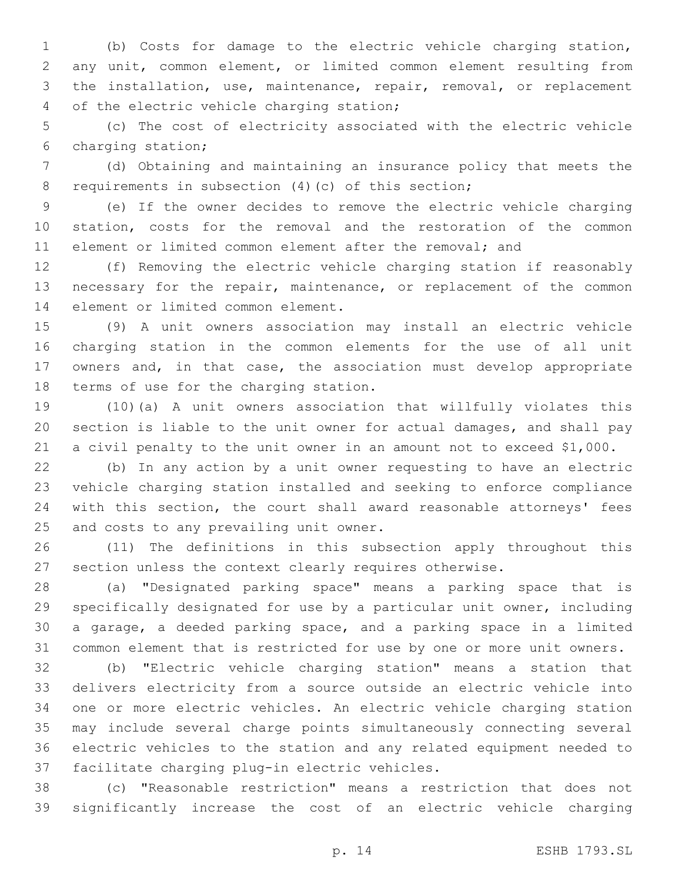(b) Costs for damage to the electric vehicle charging station, any unit, common element, or limited common element resulting from the installation, use, maintenance, repair, removal, or replacement 4 of the electric vehicle charging station;

 (c) The cost of electricity associated with the electric vehicle 6 charging station;

 (d) Obtaining and maintaining an insurance policy that meets the 8 requirements in subsection (4)(c) of this section;

 (e) If the owner decides to remove the electric vehicle charging station, costs for the removal and the restoration of the common element or limited common element after the removal; and

 (f) Removing the electric vehicle charging station if reasonably necessary for the repair, maintenance, or replacement of the common 14 element or limited common element.

 (9) A unit owners association may install an electric vehicle charging station in the common elements for the use of all unit owners and, in that case, the association must develop appropriate 18 terms of use for the charging station.

 (10)(a) A unit owners association that willfully violates this section is liable to the unit owner for actual damages, and shall pay a civil penalty to the unit owner in an amount not to exceed \$1,000.

 (b) In any action by a unit owner requesting to have an electric vehicle charging station installed and seeking to enforce compliance with this section, the court shall award reasonable attorneys' fees 25 and costs to any prevailing unit owner.

 (11) The definitions in this subsection apply throughout this section unless the context clearly requires otherwise.

 (a) "Designated parking space" means a parking space that is specifically designated for use by a particular unit owner, including a garage, a deeded parking space, and a parking space in a limited common element that is restricted for use by one or more unit owners.

 (b) "Electric vehicle charging station" means a station that delivers electricity from a source outside an electric vehicle into one or more electric vehicles. An electric vehicle charging station may include several charge points simultaneously connecting several electric vehicles to the station and any related equipment needed to 37 facilitate charging plug-in electric vehicles.

 (c) "Reasonable restriction" means a restriction that does not significantly increase the cost of an electric vehicle charging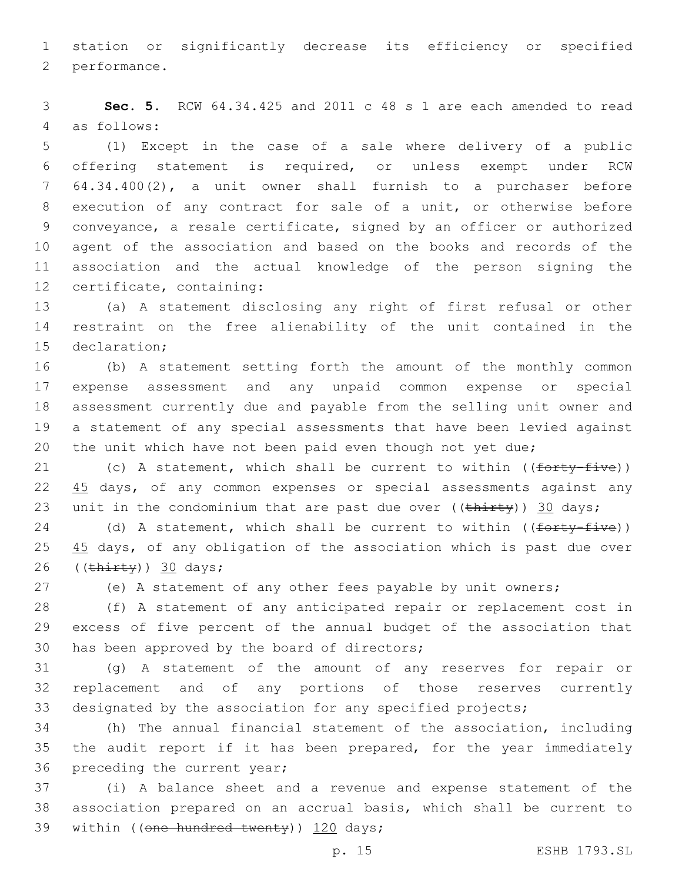1 station or significantly decrease its efficiency or specified 2 performance.

3 **Sec. 5.** RCW 64.34.425 and 2011 c 48 s 1 are each amended to read 4 as follows:

 (1) Except in the case of a sale where delivery of a public offering statement is required, or unless exempt under RCW 64.34.400(2), a unit owner shall furnish to a purchaser before execution of any contract for sale of a unit, or otherwise before conveyance, a resale certificate, signed by an officer or authorized agent of the association and based on the books and records of the association and the actual knowledge of the person signing the 12 certificate, containing:

13 (a) A statement disclosing any right of first refusal or other 14 restraint on the free alienability of the unit contained in the 15 declaration;

 (b) A statement setting forth the amount of the monthly common expense assessment and any unpaid common expense or special assessment currently due and payable from the selling unit owner and a statement of any special assessments that have been levied against 20 the unit which have not been paid even though not yet due;

21 (c) A statement, which shall be current to within  $((forty-five))$ 22 45 days, of any common expenses or special assessments against any 23 unit in the condominium that are past due over  $((\text{thirty}))$  30 days;

24 (d) A statement, which shall be current to within ((forty-five)) 25 45 days, of any obligation of the association which is past due over 26  $((\overline{\text{thirty}}))$  30 days;

27 (e) A statement of any other fees payable by unit owners;

28 (f) A statement of any anticipated repair or replacement cost in 29 excess of five percent of the annual budget of the association that 30 has been approved by the board of directors;

31 (g) A statement of the amount of any reserves for repair or 32 replacement and of any portions of those reserves currently 33 designated by the association for any specified projects;

34 (h) The annual financial statement of the association, including 35 the audit report if it has been prepared, for the year immediately 36 preceding the current year;

37 (i) A balance sheet and a revenue and expense statement of the 38 association prepared on an accrual basis, which shall be current to 39 within ((one hundred twenty)) 120 days;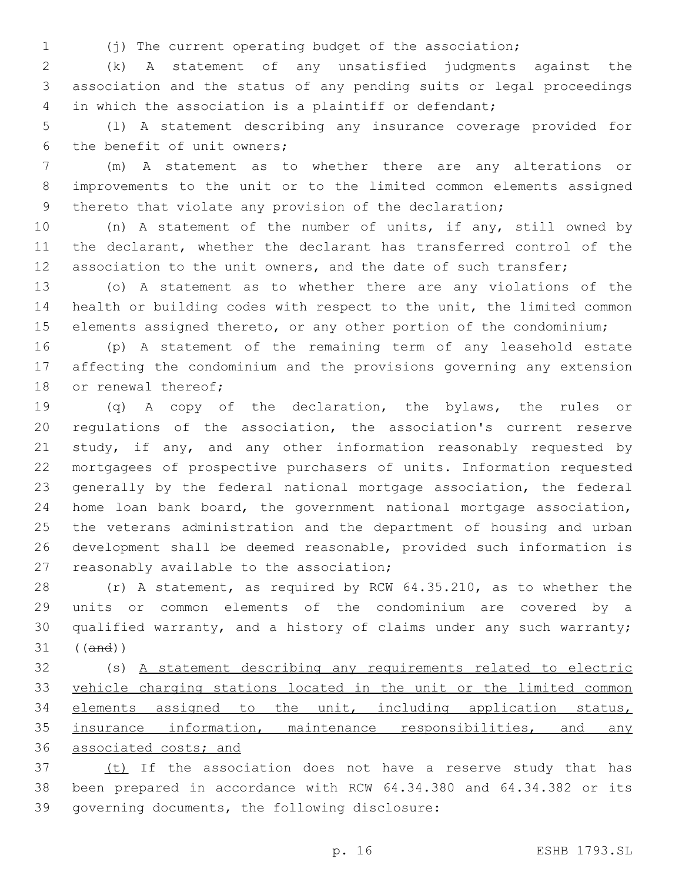(j) The current operating budget of the association;

 (k) A statement of any unsatisfied judgments against the association and the status of any pending suits or legal proceedings in which the association is a plaintiff or defendant;

 (l) A statement describing any insurance coverage provided for 6 the benefit of unit owners;

 (m) A statement as to whether there are any alterations or improvements to the unit or to the limited common elements assigned 9 thereto that violate any provision of the declaration;

 (n) A statement of the number of units, if any, still owned by the declarant, whether the declarant has transferred control of the 12 association to the unit owners, and the date of such transfer;

 (o) A statement as to whether there are any violations of the health or building codes with respect to the unit, the limited common elements assigned thereto, or any other portion of the condominium;

 (p) A statement of the remaining term of any leasehold estate affecting the condominium and the provisions governing any extension 18 or renewal thereof;

 (q) A copy of the declaration, the bylaws, the rules or regulations of the association, the association's current reserve 21 study, if any, and any other information reasonably requested by mortgagees of prospective purchasers of units. Information requested generally by the federal national mortgage association, the federal home loan bank board, the government national mortgage association, the veterans administration and the department of housing and urban development shall be deemed reasonable, provided such information is 27 reasonably available to the association;

 (r) A statement, as required by RCW 64.35.210, as to whether the units or common elements of the condominium are covered by a qualified warranty, and a history of claims under any such warranty; ((and))

 (s) A statement describing any requirements related to electric vehicle charging stations located in the unit or the limited common elements assigned to the unit, including application status, 35 insurance information, maintenance responsibilities, and any associated costs; and

37 (t) If the association does not have a reserve study that has been prepared in accordance with RCW 64.34.380 and 64.34.382 or its 39 governing documents, the following disclosure: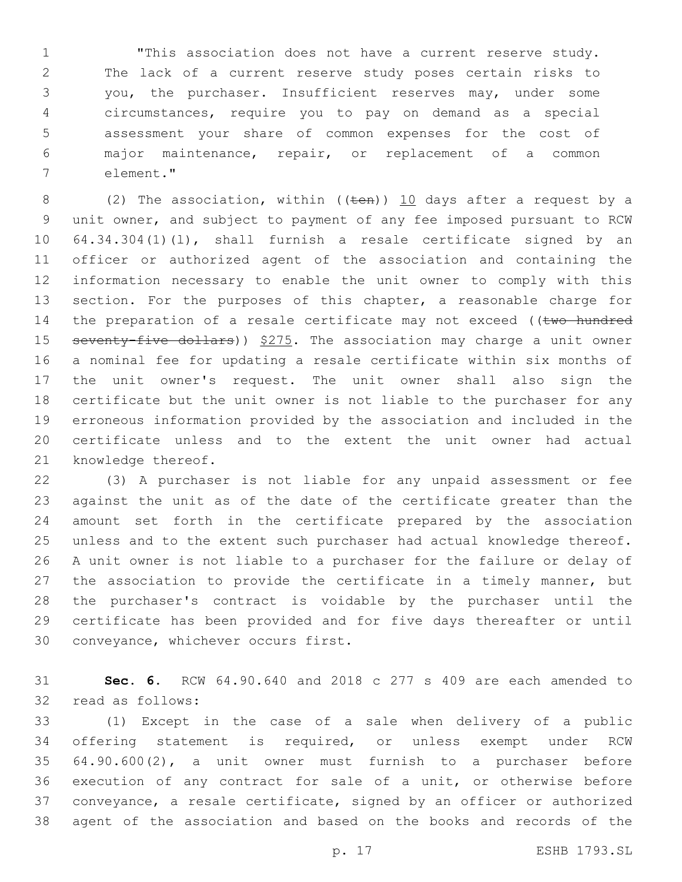"This association does not have a current reserve study. The lack of a current reserve study poses certain risks to you, the purchaser. Insufficient reserves may, under some circumstances, require you to pay on demand as a special assessment your share of common expenses for the cost of major maintenance, repair, or replacement of a common element."7

8 (2) The association, within (( $t$ en))  $10$  days after a request by a unit owner, and subject to payment of any fee imposed pursuant to RCW 64.34.304(1)(l), shall furnish a resale certificate signed by an officer or authorized agent of the association and containing the information necessary to enable the unit owner to comply with this 13 section. For the purposes of this chapter, a reasonable charge for 14 the preparation of a resale certificate may not exceed ((two hundred 15 seventy-five dollars)) \$275. The association may charge a unit owner a nominal fee for updating a resale certificate within six months of the unit owner's request. The unit owner shall also sign the certificate but the unit owner is not liable to the purchaser for any erroneous information provided by the association and included in the certificate unless and to the extent the unit owner had actual 21 knowledge thereof.

 (3) A purchaser is not liable for any unpaid assessment or fee against the unit as of the date of the certificate greater than the amount set forth in the certificate prepared by the association unless and to the extent such purchaser had actual knowledge thereof. A unit owner is not liable to a purchaser for the failure or delay of the association to provide the certificate in a timely manner, but the purchaser's contract is voidable by the purchaser until the certificate has been provided and for five days thereafter or until 30 conveyance, whichever occurs first.

 **Sec. 6.** RCW 64.90.640 and 2018 c 277 s 409 are each amended to 32 read as follows:

 (1) Except in the case of a sale when delivery of a public offering statement is required, or unless exempt under RCW 64.90.600(2), a unit owner must furnish to a purchaser before execution of any contract for sale of a unit, or otherwise before conveyance, a resale certificate, signed by an officer or authorized agent of the association and based on the books and records of the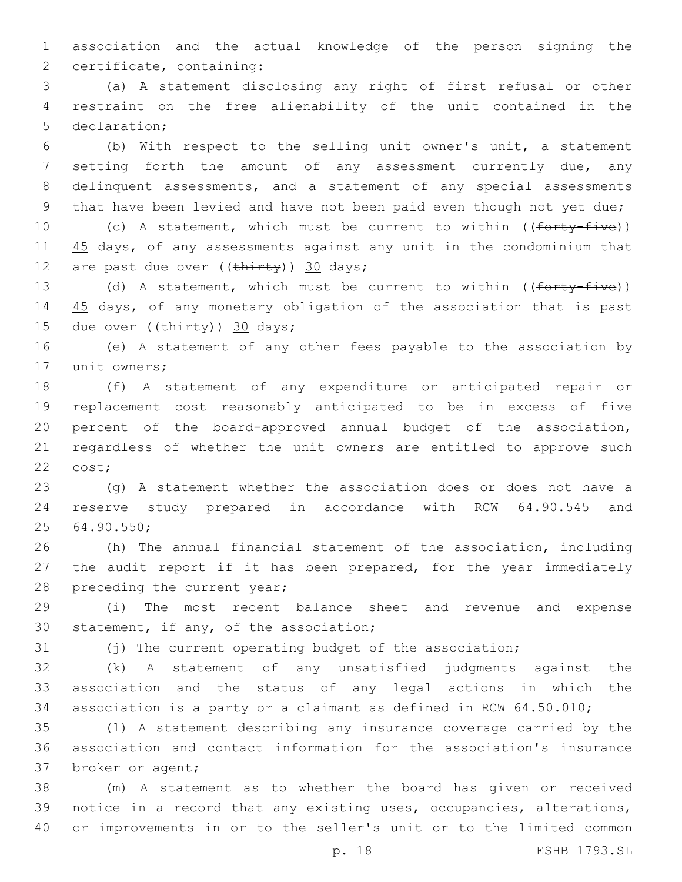1 association and the actual knowledge of the person signing the 2 certificate, containing:

3 (a) A statement disclosing any right of first refusal or other 4 restraint on the free alienability of the unit contained in the 5 declaration;

 (b) With respect to the selling unit owner's unit, a statement 7 setting forth the amount of any assessment currently due, any delinquent assessments, and a statement of any special assessments that have been levied and have not been paid even though not yet due;

10 (c) A statement, which must be current to within ((forty-five)) 11 45 days, of any assessments against any unit in the condominium that 12 are past due over  $((\text{thirty}))$  30 days;

13 (d) A statement, which must be current to within ((forty-five)) 14 45 days, of any monetary obligation of the association that is past 15 due over  $((\text{thirty})$ ) 30 days;

16 (e) A statement of any other fees payable to the association by 17 unit owners;

 (f) A statement of any expenditure or anticipated repair or replacement cost reasonably anticipated to be in excess of five percent of the board-approved annual budget of the association, regardless of whether the unit owners are entitled to approve such 22 cost;

23 (g) A statement whether the association does or does not have a 24 reserve study prepared in accordance with RCW 64.90.545 and 64.90.550;25

26 (h) The annual financial statement of the association, including 27 the audit report if it has been prepared, for the year immediately 28 preceding the current year;

29 (i) The most recent balance sheet and revenue and expense 30 statement, if any, of the association;

31 (j) The current operating budget of the association;

32 (k) A statement of any unsatisfied judgments against the 33 association and the status of any legal actions in which the 34 association is a party or a claimant as defined in RCW 64.50.010;

35 (l) A statement describing any insurance coverage carried by the 36 association and contact information for the association's insurance 37 broker or agent;

38 (m) A statement as to whether the board has given or received 39 notice in a record that any existing uses, occupancies, alterations, 40 or improvements in or to the seller's unit or to the limited common

p. 18 ESHB 1793.SL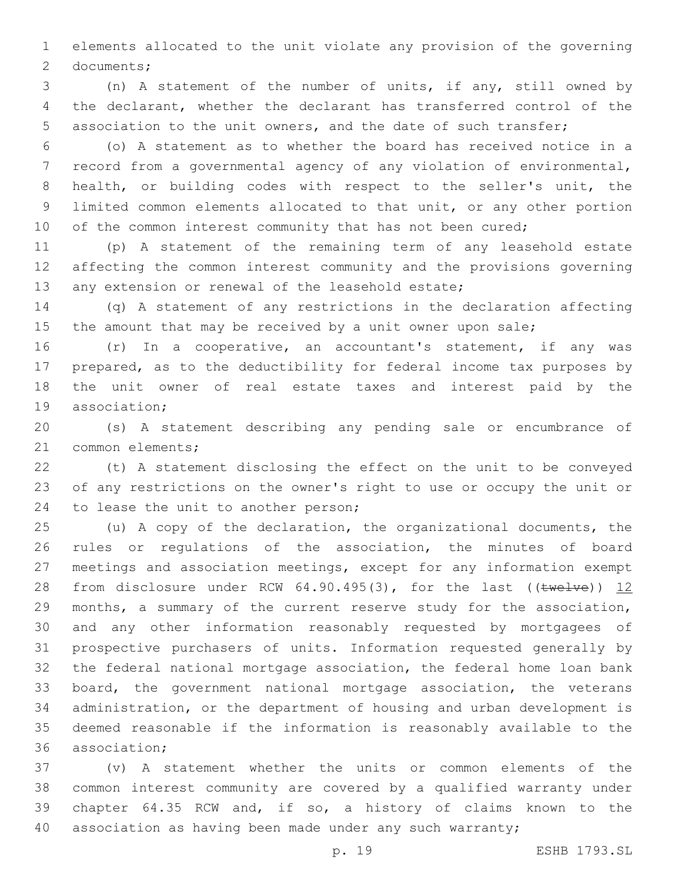elements allocated to the unit violate any provision of the governing 2 documents;

 (n) A statement of the number of units, if any, still owned by the declarant, whether the declarant has transferred control of the association to the unit owners, and the date of such transfer;

 (o) A statement as to whether the board has received notice in a record from a governmental agency of any violation of environmental, health, or building codes with respect to the seller's unit, the limited common elements allocated to that unit, or any other portion 10 of the common interest community that has not been cured;

 (p) A statement of the remaining term of any leasehold estate affecting the common interest community and the provisions governing 13 any extension or renewal of the leasehold estate;

 (q) A statement of any restrictions in the declaration affecting 15 the amount that may be received by a unit owner upon sale;

 (r) In a cooperative, an accountant's statement, if any was prepared, as to the deductibility for federal income tax purposes by the unit owner of real estate taxes and interest paid by the 19 association:

 (s) A statement describing any pending sale or encumbrance of 21 common elements;

 (t) A statement disclosing the effect on the unit to be conveyed of any restrictions on the owner's right to use or occupy the unit or 24 to lease the unit to another person;

 (u) A copy of the declaration, the organizational documents, the rules or regulations of the association, the minutes of board meetings and association meetings, except for any information exempt 28 from disclosure under RCW  $64.90.495(3)$ , for the last (( $tweIve$ )) 12 months, a summary of the current reserve study for the association, and any other information reasonably requested by mortgagees of prospective purchasers of units. Information requested generally by the federal national mortgage association, the federal home loan bank board, the government national mortgage association, the veterans administration, or the department of housing and urban development is deemed reasonable if the information is reasonably available to the 36 association;

 (v) A statement whether the units or common elements of the common interest community are covered by a qualified warranty under chapter 64.35 RCW and, if so, a history of claims known to the 40 association as having been made under any such warranty;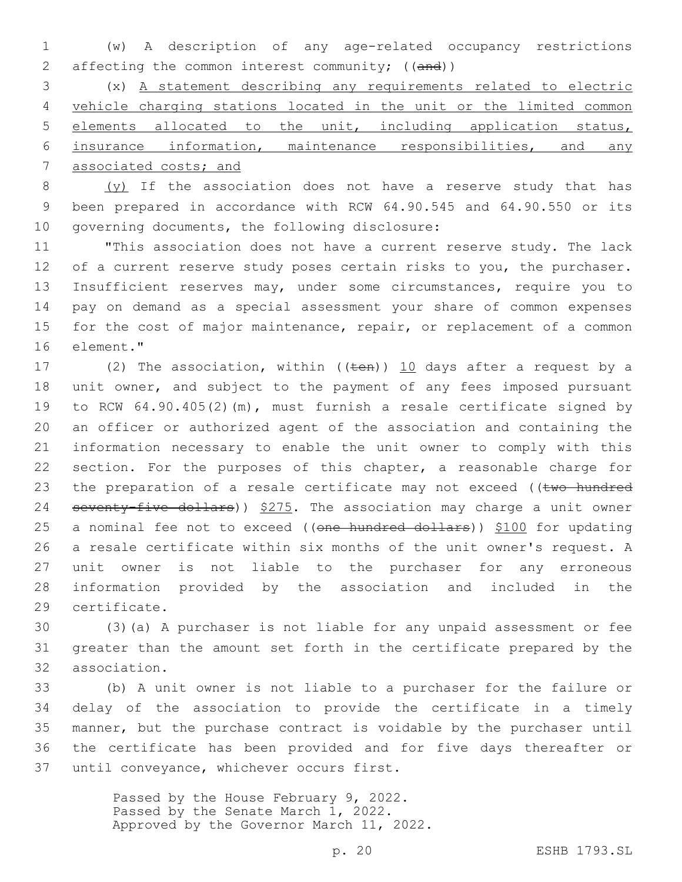1 (w) A description of any age-related occupancy restrictions 2 affecting the common interest community; ((and))

 (x) A statement describing any requirements related to electric vehicle charging stations located in the unit or the limited common elements allocated to the unit, including application status, insurance information, maintenance responsibilities, and any associated costs; and

8 (y) If the association does not have a reserve study that has 9 been prepared in accordance with RCW 64.90.545 and 64.90.550 or its 10 governing documents, the following disclosure:

11 "This association does not have a current reserve study. The lack 12 of a current reserve study poses certain risks to you, the purchaser. 13 Insufficient reserves may, under some circumstances, require you to 14 pay on demand as a special assessment your share of common expenses 15 for the cost of major maintenance, repair, or replacement of a common 16 element."

17 (2) The association, within  $((\text{ten}))$  10 days after a request by a unit owner, and subject to the payment of any fees imposed pursuant to RCW 64.90.405(2)(m), must furnish a resale certificate signed by an officer or authorized agent of the association and containing the information necessary to enable the unit owner to comply with this section. For the purposes of this chapter, a reasonable charge for 23 the preparation of a resale certificate may not exceed ( $tw$ o hundred 24 seventy-five dollars)) \$275. The association may charge a unit owner 25 a nominal fee not to exceed ((one hundred dollars)) \$100 for updating a resale certificate within six months of the unit owner's request. A unit owner is not liable to the purchaser for any erroneous information provided by the association and included in the 29 certificate.

30 (3)(a) A purchaser is not liable for any unpaid assessment or fee 31 greater than the amount set forth in the certificate prepared by the association.32

 (b) A unit owner is not liable to a purchaser for the failure or delay of the association to provide the certificate in a timely manner, but the purchase contract is voidable by the purchaser until the certificate has been provided and for five days thereafter or 37 until conveyance, whichever occurs first.

> Passed by the House February 9, 2022. Passed by the Senate March 1, 2022. Approved by the Governor March 11, 2022.